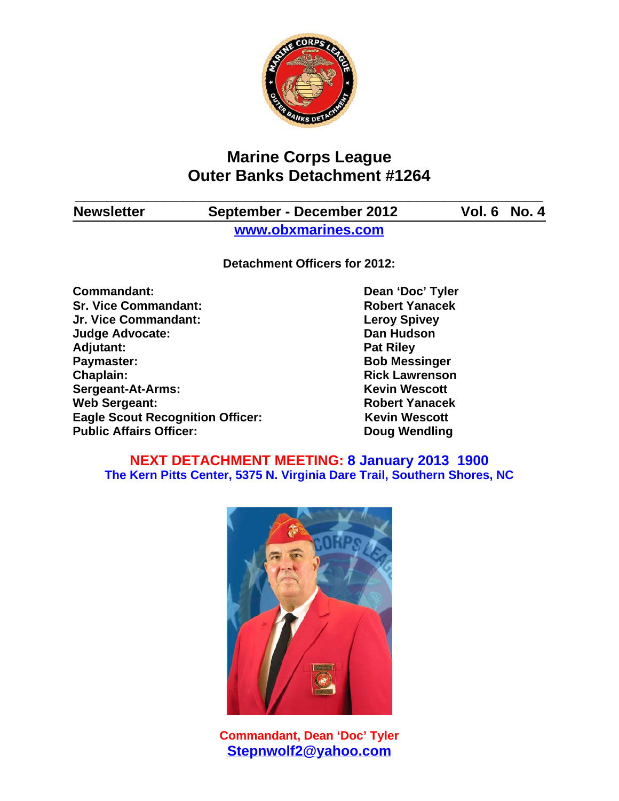

# **Marine Corps League Outer Banks Detachment #1264**

**\_\_\_\_\_\_\_\_\_\_\_\_\_\_\_\_\_\_\_\_\_\_\_\_\_\_\_\_\_\_\_\_\_\_\_\_\_\_\_\_\_\_\_\_\_\_\_\_\_\_\_\_**

**Newsletter September - December 2012 Vol. 6 No. 4**

**www.obxmarines.com**

**Detachment Officers for 2012:**

**Commandant:** Dean 'Doc' Tyler **Sr. Vice Commandant: Robert Yanacek Jr. Vice Commandant: Leroy Spivey Judge Advocate: Dan Hudson** Adjutant: **Pat Riley Paymaster:** Bob Messinger **Chaplain: Chaplain: Rick Lawrenson Sergeant-At-Arms:** Kevin Wescott **Web Sergeant: Robert Yanacek Eagle Scout Recognition Officer:** Kevin Wescott Public Affairs Officer: Doug Wendling

## **NEXT DETACHMENT MEETING: 8 January 2013 1900 The Kern Pitts Center, 5375 N. Virginia Dare Trail, Southern Shores, NC**



**Commandant, Dean 'Doc' Tyler Stepnwolf2@yahoo.com**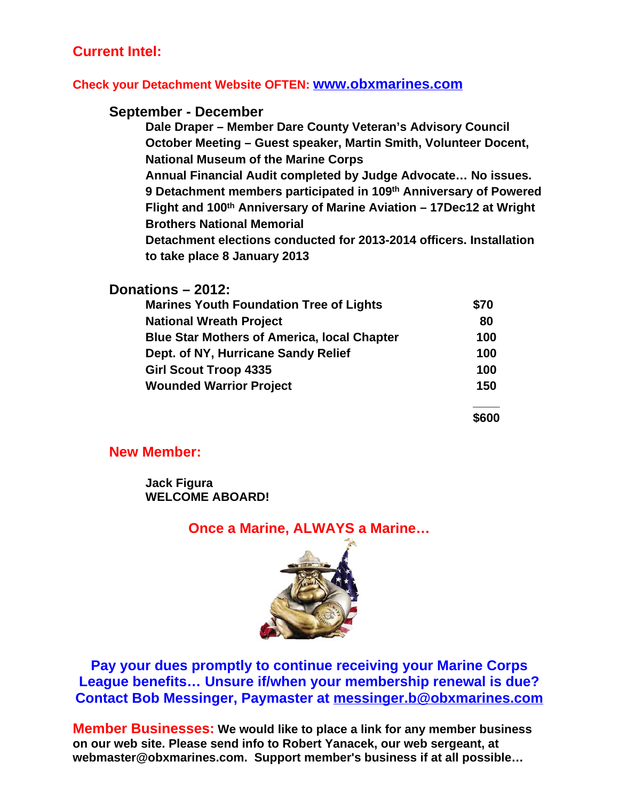## **Current Intel:**

#### **Check your Detachment Website OFTEN: www.obxmarines.com**

#### **September - December**

**Dale Draper – Member Dare County Veteran's Advisory Council October Meeting – Guest speaker, Martin Smith, Volunteer Docent, National Museum of the Marine Corps**

**Annual Financial Audit completed by Judge Advocate… No issues. 9 Detachment members participated in 109th Anniversary of Powered Flight and 100th Anniversary of Marine Aviation – 17Dec12 at Wright Brothers National Memorial**

**Detachment elections conducted for 2013-2014 officers. Installation to take place 8 January 2013**

| Donations - 2012:                                                                                                                                                                                             |                                 |                                |     |
|---------------------------------------------------------------------------------------------------------------------------------------------------------------------------------------------------------------|---------------------------------|--------------------------------|-----|
| <b>Marines Youth Foundation Tree of Lights</b><br><b>National Wreath Project</b><br><b>Blue Star Mothers of America, local Chapter</b><br>Dept. of NY, Hurricane Sandy Relief<br><b>Girl Scout Troop 4335</b> | \$70<br>80<br>100<br>100<br>100 |                                |     |
|                                                                                                                                                                                                               |                                 | <b>Wounded Warrior Project</b> | 150 |
|                                                                                                                                                                                                               |                                 |                                |     |

**\$600**

#### **New Member:**

**Jack Figura WELCOME ABOARD!**

## **Once a Marine, ALWAYS a Marine…**



**Pay your dues promptly to continue receiving your Marine Corps League benefits… Unsure if/when your membership renewal is due? Contact Bob Messinger, Paymaster at messinger.b@obxmarines.com**

**Member Businesses: We would like to place a link for any member business on our web site. Please send info to Robert Yanacek, our web sergeant, at webmaster@obxmarines.com. Support member's business if at all possible…**